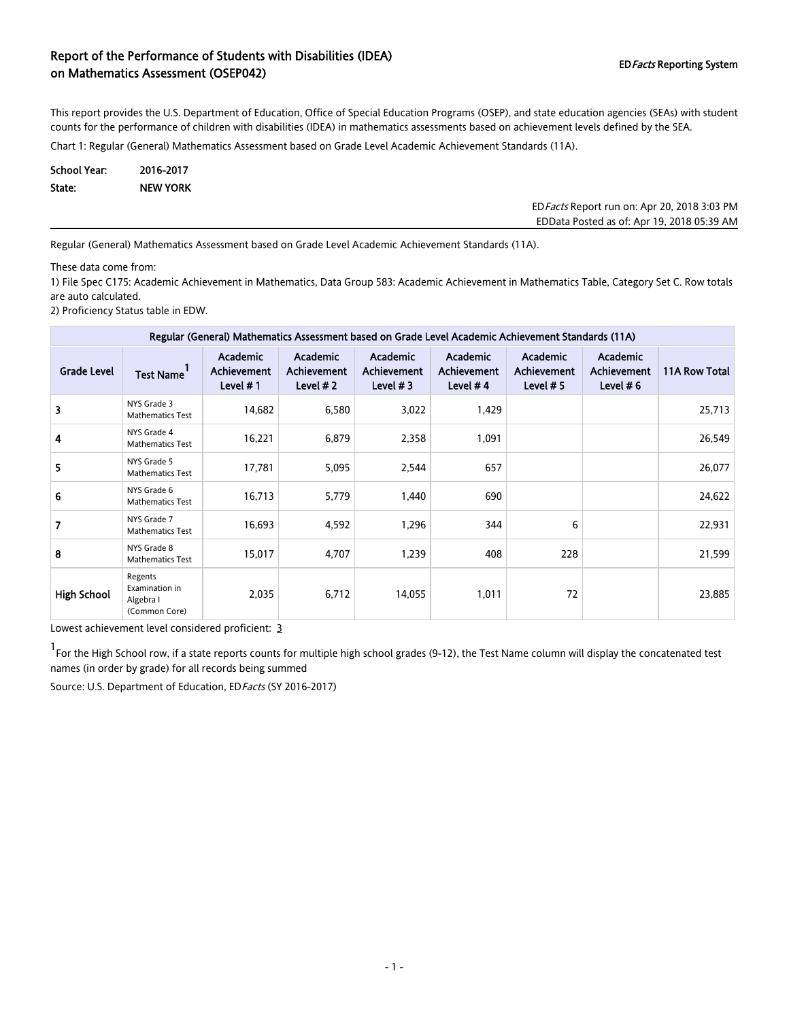### Report of the Performance of Students with Disabilities (IDEA) on Mathematics Assessment (OSEP042) and Disabilities (IDE) or Mathematics Assessment (OSEP042)

This report provides the U.S. Department of Education, Office of Special Education Programs (OSEP), and state education agencies (SEAs) with student counts for the performance of children with disabilities (IDEA) in mathematics assessments based on achievement levels defined by the SEA.

Chart 1: Regular (General) Mathematics Assessment based on Grade Level Academic Achievement Standards (11A).

| School Year: | 2016-2017       |
|--------------|-----------------|
| State:       | <b>NEW YORK</b> |

EDFacts Report run on: Apr 20, 2018 3:03 PM EDData Posted as of: Apr 19, 2018 05:39 AM

Regular (General) Mathematics Assessment based on Grade Level Academic Achievement Standards (11A).

These data come from:

1) File Spec C175: Academic Achievement in Mathematics, Data Group 583: Academic Achievement in Mathematics Table, Category Set C. Row totals are auto calculated.

2) Proficiency Status table in EDW.

| Regular (General) Mathematics Assessment based on Grade Level Academic Achievement Standards (11A) |                                                         |                                                      |                                               |                                              |                                                     |                                               |                                               |               |  |  |
|----------------------------------------------------------------------------------------------------|---------------------------------------------------------|------------------------------------------------------|-----------------------------------------------|----------------------------------------------|-----------------------------------------------------|-----------------------------------------------|-----------------------------------------------|---------------|--|--|
| <b>Grade Level</b>                                                                                 | <b>Test Name</b>                                        | <b>Academic</b><br><b>Achievement</b><br>Level $# 1$ | <b>Academic</b><br>Achievement<br>Level $# 2$ | Academic<br><b>Achievement</b><br>Level $#3$ | <b>Academic</b><br><b>Achievement</b><br>Level $#4$ | Academic<br><b>Achievement</b><br>Level $# 5$ | Academic<br><b>Achievement</b><br>Level $# 6$ | 11A Row Total |  |  |
| 3                                                                                                  | NYS Grade 3<br><b>Mathematics Test</b>                  | 14,682                                               | 6,580                                         | 3,022                                        | 1,429                                               |                                               |                                               | 25,713        |  |  |
| 4                                                                                                  | NYS Grade 4<br><b>Mathematics Test</b>                  | 16,221                                               | 6,879                                         | 2,358                                        | 1,091                                               |                                               |                                               | 26,549        |  |  |
| 5                                                                                                  | NYS Grade 5<br><b>Mathematics Test</b>                  | 17,781                                               | 5,095                                         | 2,544                                        | 657                                                 |                                               |                                               | 26,077        |  |  |
| 6                                                                                                  | NYS Grade 6<br><b>Mathematics Test</b>                  | 16,713                                               | 5,779                                         | 1,440                                        | 690                                                 |                                               |                                               | 24,622        |  |  |
| 7                                                                                                  | NYS Grade 7<br><b>Mathematics Test</b>                  | 16,693                                               | 4,592                                         | 1,296                                        | 344                                                 | 6                                             |                                               | 22,931        |  |  |
| 8                                                                                                  | NYS Grade 8<br><b>Mathematics Test</b>                  | 15,017                                               | 4,707                                         | 1,239                                        | 408                                                 | 228                                           |                                               | 21,599        |  |  |
| <b>High School</b>                                                                                 | Regents<br>Examination in<br>Algebra I<br>(Common Core) | 2,035                                                | 6,712                                         | 14,055                                       | 1,011                                               | 72                                            |                                               | 23,885        |  |  |

Lowest achievement level considered proficient: 3

1 For the High School row, if a state reports counts for multiple high school grades (9-12), the Test Name column will display the concatenated test names (in order by grade) for all records being summed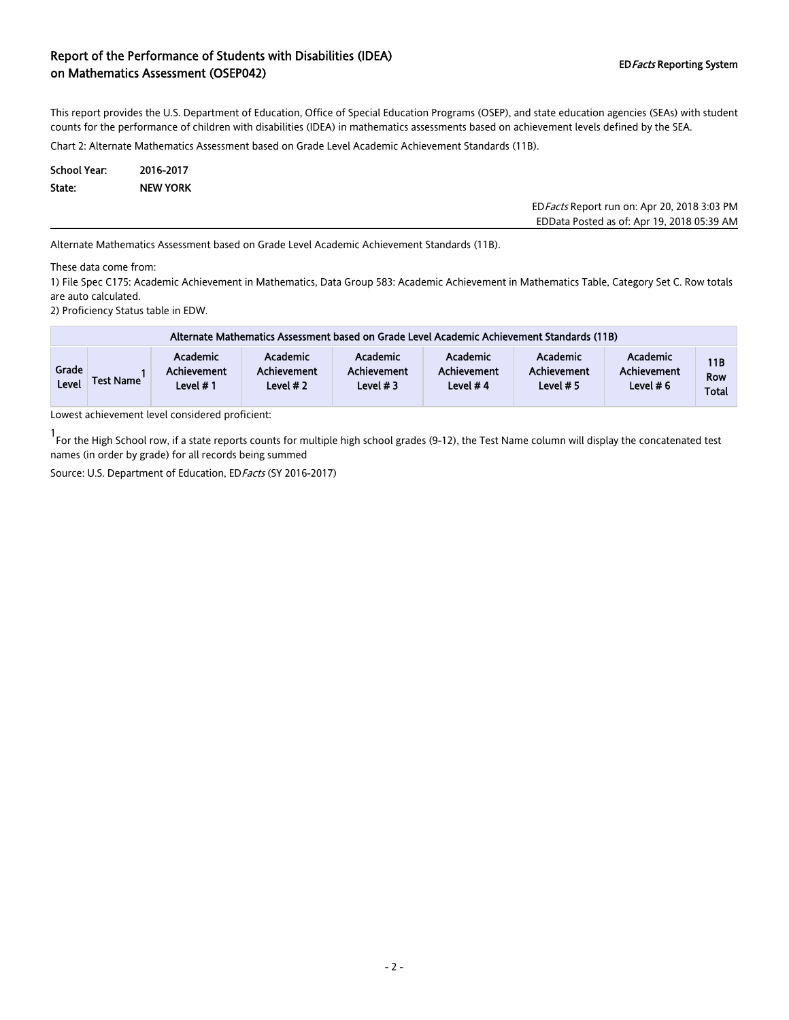### Report of the Performance of Students with Disabilities (IDEA) on Mathematics Assessment (OSEP042) and Disabilities (IDE) or Mathematics Assessment (OSEP042)

This report provides the U.S. Department of Education, Office of Special Education Programs (OSEP), and state education agencies (SEAs) with student counts for the performance of children with disabilities (IDEA) in mathematics assessments based on achievement levels defined by the SEA.

Chart 2: Alternate Mathematics Assessment based on Grade Level Academic Achievement Standards (11B).

| School Year: | 2016-2017       |
|--------------|-----------------|
| State:       | <b>NEW YORK</b> |

EDFacts Report run on: Apr 20, 2018 3:03 PM EDData Posted as of: Apr 19, 2018 05:39 AM

Alternate Mathematics Assessment based on Grade Level Academic Achievement Standards (11B).

These data come from:

1) File Spec C175: Academic Achievement in Mathematics, Data Group 583: Academic Achievement in Mathematics Table, Category Set C. Row totals are auto calculated.

2) Proficiency Status table in EDW.

|                | Alternate Mathematics Assessment based on Grade Level Academic Achievement Standards (11B) |                                            |                                              |                                              |                                              |                                            |                                        |                                   |  |  |  |
|----------------|--------------------------------------------------------------------------------------------|--------------------------------------------|----------------------------------------------|----------------------------------------------|----------------------------------------------|--------------------------------------------|----------------------------------------|-----------------------------------|--|--|--|
| Grade<br>Level | <b>Test Name</b>                                                                           | <b>Academic</b><br>Achievement<br>Level #1 | Academic<br><b>Achievement</b><br>Level $#2$ | Academic<br><b>Achievement</b><br>Level $#3$ | Academic<br><b>Achievement</b><br>Level $#4$ | <b>Academic</b><br>Achievement<br>Level #5 | Academic<br>Achievement<br>Level $# 6$ | 11B<br><b>Row</b><br><b>Total</b> |  |  |  |

Lowest achievement level considered proficient:

1 For the High School row, if a state reports counts for multiple high school grades (9-12), the Test Name column will display the concatenated test names (in order by grade) for all records being summed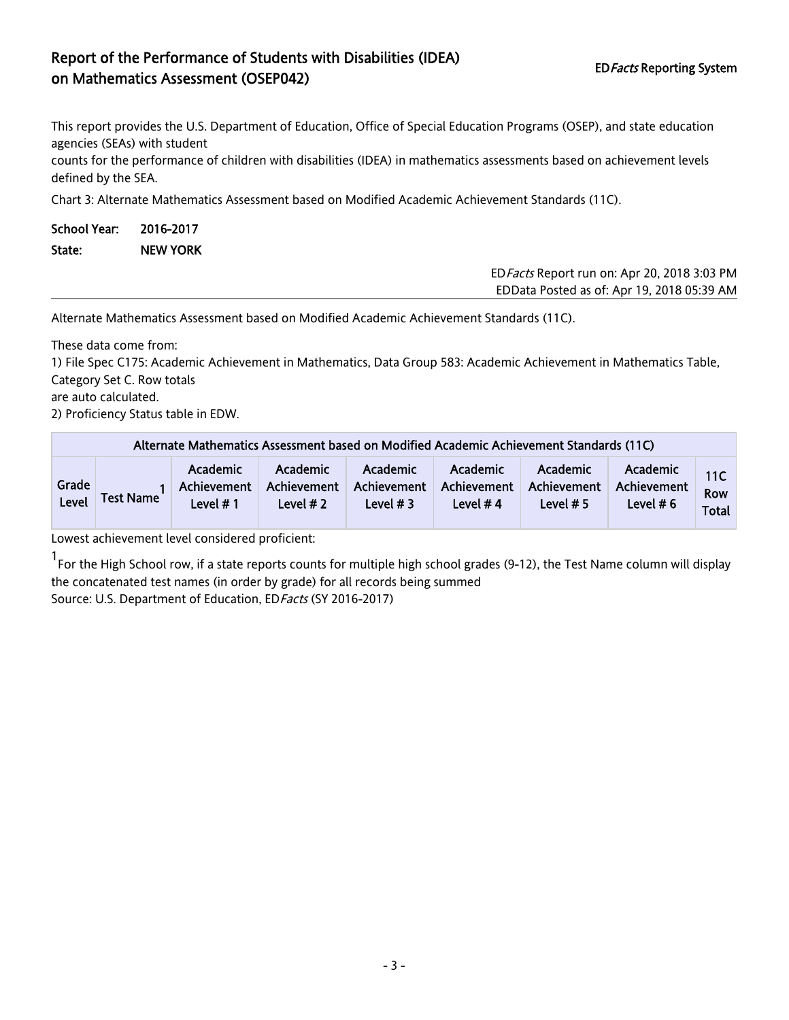# Report of the Performance of Students with Disabilities (IDEA) on Mathematics Assessment (OSEP042) and Disabilities (IDE)  $\sqrt{ }$  EDFacts Reporting System EDFacts Reporting System

This report provides the U.S. Department of Education, Office of Special Education Programs (OSEP), and state education agencies (SEAs) with student

counts for the performance of children with disabilities (IDEA) in mathematics assessments based on achievement levels defined by the SEA.

Chart 3: Alternate Mathematics Assessment based on Modified Academic Achievement Standards (11C).

| School Year: 2016-2017 |                 |
|------------------------|-----------------|
| State:                 | <b>NEW YORK</b> |

EDFacts Report run on: Apr 20, 2018 3:03 PM EDData Posted as of: Apr 19, 2018 05:39 AM

Alternate Mathematics Assessment based on Modified Academic Achievement Standards (11C).

These data come from:

1) File Spec C175: Academic Achievement in Mathematics, Data Group 583: Academic Achievement in Mathematics Table, Category Set C. Row totals

are auto calculated.

2) Proficiency Status table in EDW.

| Alternate Mathematics Assessment based on Modified Academic Achievement Standards (11C) |                  |                                     |                                       |                                              |                                              |                                               |                                        |                                   |  |
|-----------------------------------------------------------------------------------------|------------------|-------------------------------------|---------------------------------------|----------------------------------------------|----------------------------------------------|-----------------------------------------------|----------------------------------------|-----------------------------------|--|
| Grade<br>Level                                                                          | <b>Test Name</b> | Academic<br>Achievement<br>Level #1 | Academic<br>Achievement<br>Level $#2$ | <b>Academic</b><br>Achievement<br>Level $#3$ | <b>Academic</b><br>Achievement<br>Level $#4$ | <b>Academic</b><br>Achievement<br>Level $# 5$ | Academic<br>Achievement<br>Level $# 6$ | 11C<br><b>Row</b><br><b>Total</b> |  |

Lowest achievement level considered proficient:

1 For the High School row, if a state reports counts for multiple high school grades (9-12), the Test Name column will display the concatenated test names (in order by grade) for all records being summed Source: U.S. Department of Education, ED Facts (SY 2016-2017)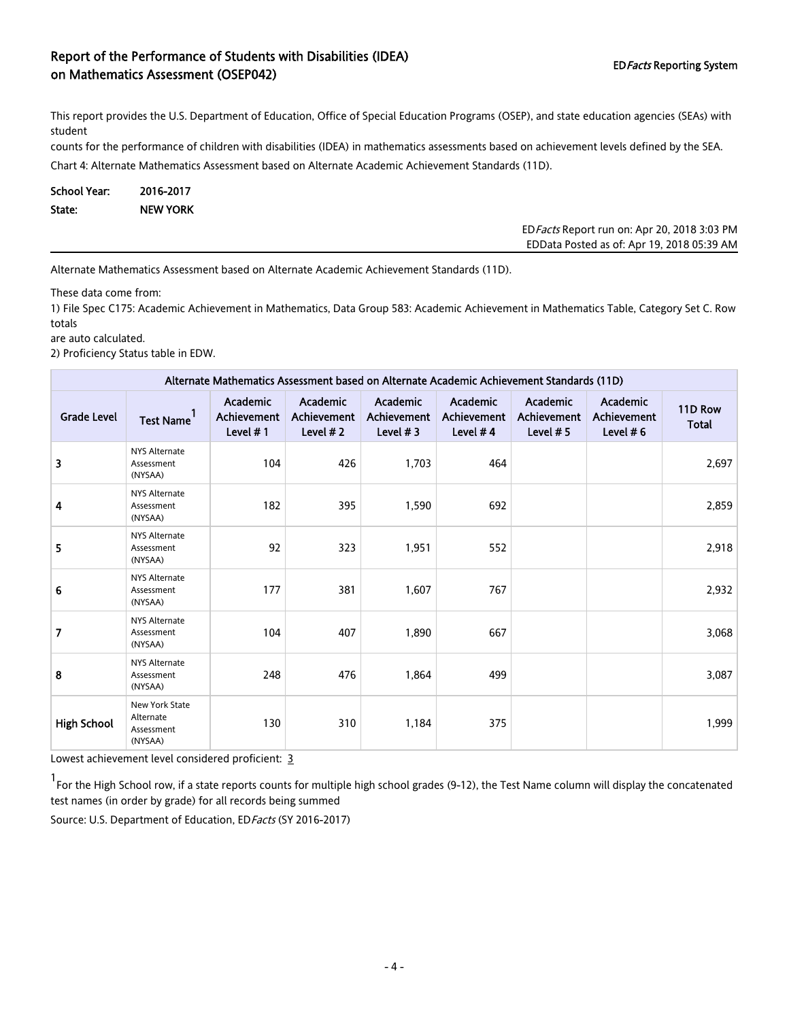# Report of the Performance of Students with Disabilities (IDEA) on Mathematics Assessment (OSEP042) and Disabilities (IDE) or Mathematics Reporting System ED Facts Reporting System

This report provides the U.S. Department of Education, Office of Special Education Programs (OSEP), and state education agencies (SEAs) with student

counts for the performance of children with disabilities (IDEA) in mathematics assessments based on achievement levels defined by the SEA.

Chart 4: Alternate Mathematics Assessment based on Alternate Academic Achievement Standards (11D).

School Year: 2016-2017 State: NEW YORK

> EDFacts Report run on: Apr 20, 2018 3:03 PM EDData Posted as of: Apr 19, 2018 05:39 AM

Alternate Mathematics Assessment based on Alternate Academic Achievement Standards (11D).

These data come from:

1) File Spec C175: Academic Achievement in Mathematics, Data Group 583: Academic Achievement in Mathematics Table, Category Set C. Row totals

are auto calculated.

2) Proficiency Status table in EDW.

| Alternate Mathematics Assessment based on Alternate Academic Achievement Standards (11D) |                                                      |                                            |                                                      |                                       |                                     |                                     |                                                      |                         |  |  |
|------------------------------------------------------------------------------------------|------------------------------------------------------|--------------------------------------------|------------------------------------------------------|---------------------------------------|-------------------------------------|-------------------------------------|------------------------------------------------------|-------------------------|--|--|
| <b>Grade Level</b>                                                                       | <b>Test Name</b>                                     | Academic<br><b>Achievement</b><br>Level #1 | <b>Academic</b><br><b>Achievement</b><br>Level $# 2$ | Academic<br>Achievement<br>Level $#3$ | Academic<br>Achievement<br>Level #4 | Academic<br>Achievement<br>Level #5 | <b>Academic</b><br><b>Achievement</b><br>Level $# 6$ | 11D Row<br><b>Total</b> |  |  |
| 3                                                                                        | <b>NYS Alternate</b><br>Assessment<br>(NYSAA)        | 104                                        | 426                                                  | 1,703                                 | 464                                 |                                     |                                                      | 2,697                   |  |  |
| 4                                                                                        | <b>NYS Alternate</b><br>Assessment<br>(NYSAA)        | 182                                        | 395                                                  | 1,590                                 | 692                                 |                                     |                                                      | 2,859                   |  |  |
| 5                                                                                        | <b>NYS Alternate</b><br>Assessment<br>(NYSAA)        | 92                                         | 323                                                  | 1,951                                 | 552                                 |                                     |                                                      | 2,918                   |  |  |
| 6                                                                                        | <b>NYS Alternate</b><br>Assessment<br>(NYSAA)        | 177                                        | 381                                                  | 1,607                                 | 767                                 |                                     |                                                      | 2,932                   |  |  |
| $\overline{7}$                                                                           | <b>NYS Alternate</b><br>Assessment<br>(NYSAA)        | 104                                        | 407                                                  | 1,890                                 | 667                                 |                                     |                                                      | 3,068                   |  |  |
| 8                                                                                        | <b>NYS Alternate</b><br>Assessment<br>(NYSAA)        | 248                                        | 476                                                  | 1,864                                 | 499                                 |                                     |                                                      | 3,087                   |  |  |
| <b>High School</b>                                                                       | New York State<br>Alternate<br>Assessment<br>(NYSAA) | 130                                        | 310                                                  | 1,184                                 | 375                                 |                                     |                                                      | 1,999                   |  |  |

Lowest achievement level considered proficient: 3

1 For the High School row, if a state reports counts for multiple high school grades (9-12), the Test Name column will display the concatenated test names (in order by grade) for all records being summed